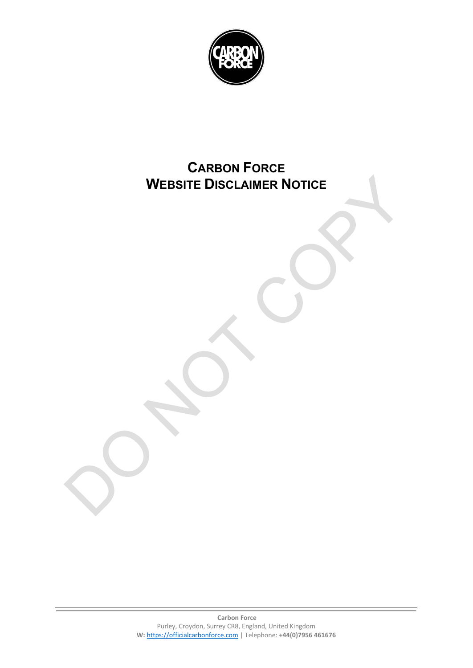

## **CARBON FORCE WEBSITE DISCLAIMER NOTICE**